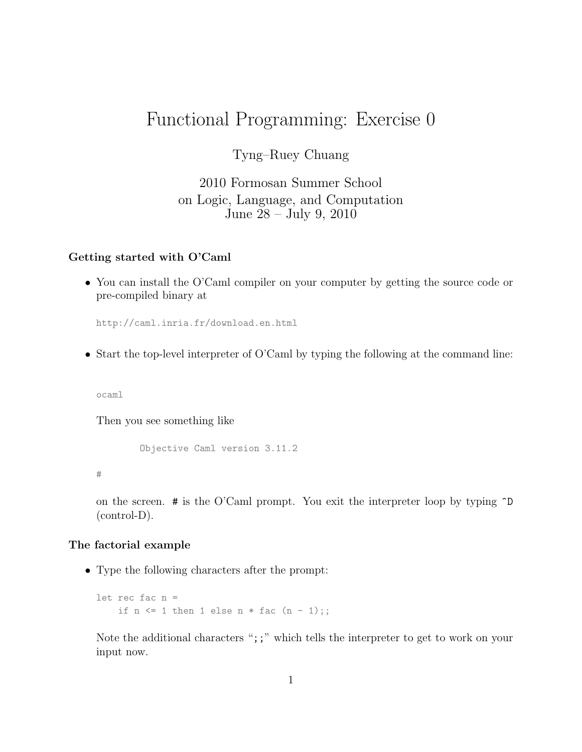# Functional Programming: Exercise 0

Tyng–Ruey Chuang

2010 Formosan Summer School on Logic, Language, and Computation June 28 – July 9, 2010

## Getting started with O'Caml

• You can install the O'Caml compiler on your computer by getting the source code or pre-compiled binary at

http://caml.inria.fr/download.en.html

• Start the top-level interpreter of O'Caml by typing the following at the command line:

ocaml

Then you see something like

```
Objective Caml version 3.11.2
```
#

on the screen.  $\#$  is the O'Caml prompt. You exit the interpreter loop by typing  $\cap$ (control-D).

#### The factorial example

• Type the following characters after the prompt:

```
let rec fac n =
    if n \leq 1 then 1 else n * fac (n - 1);;
```
Note the additional characters ";;" which tells the interpreter to get to work on your input now.